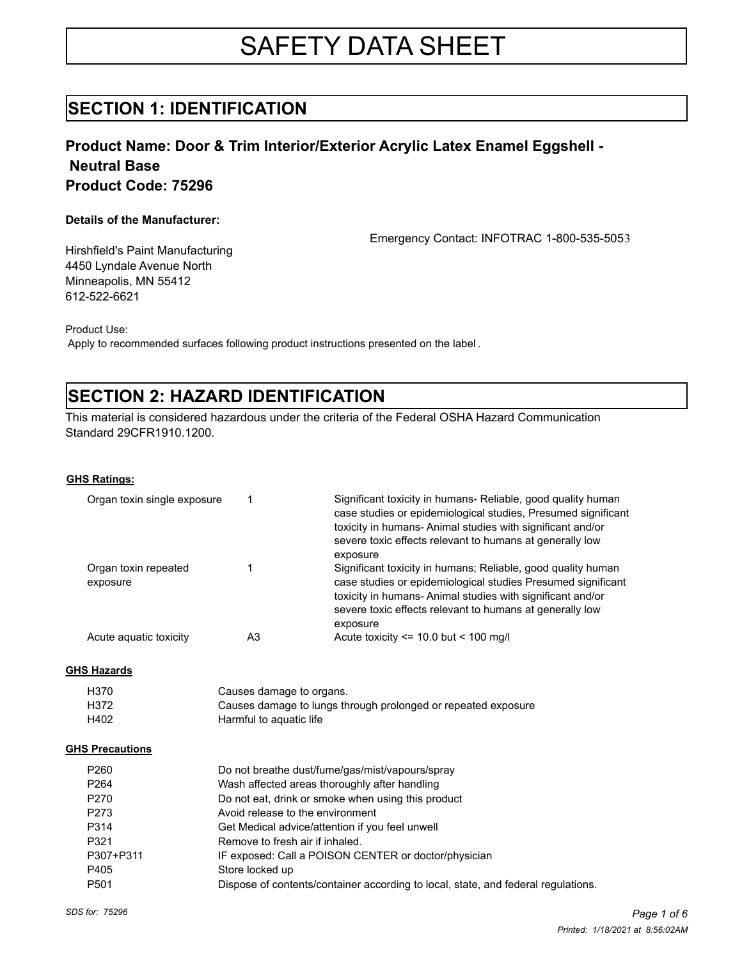# SAFETY DATA SHEET

### **SECTION 1: IDENTIFICATION**

### **Product Name: Door & Trim Interior/Exterior Acrylic Latex Enamel Eggshell - Neutral Base Product Code: 75296**

#### **Details of the Manufacturer:**

Emergency Contact: INFOTRAC 1-800-535-5053

Hirshfield's Paint Manufacturing 4450 Lyndale Avenue North Minneapolis, MN 55412 612-522-6621

Product Use:

Apply to recommended surfaces following product instructions presented on the label .

# **SECTION 2: HAZARD IDENTIFICATION**

This material is considered hazardous under the criteria of the Federal OSHA Hazard Communication Standard 29CFR1910.1200.

#### **GHS Ratings:**

| Organ toxin single exposure      |    | Significant toxicity in humans- Reliable, good quality human<br>case studies or epidemiological studies, Presumed significant<br>toxicity in humans-Animal studies with significant and/or<br>severe toxic effects relevant to humans at generally low            |
|----------------------------------|----|-------------------------------------------------------------------------------------------------------------------------------------------------------------------------------------------------------------------------------------------------------------------|
| Organ toxin repeated<br>exposure |    | exposure<br>Significant toxicity in humans; Reliable, good quality human<br>case studies or epidemiological studies Presumed significant<br>toxicity in humans-Animal studies with significant and/or<br>severe toxic effects relevant to humans at generally low |
| Acute aguatic toxicity           | A3 | exposure<br>Acute toxicity $\le$ 10.0 but $\le$ 100 mg/l                                                                                                                                                                                                          |

#### **GHS Hazards**

| H370 | Causes damage to organs.                                      |
|------|---------------------------------------------------------------|
| H372 | Causes damage to lungs through prolonged or repeated exposure |
| H402 | Harmful to aguatic life                                       |

#### **GHS Precautions**

| P <sub>260</sub> | Do not breathe dust/fume/gas/mist/vapours/spray                                   |
|------------------|-----------------------------------------------------------------------------------|
| P <sub>264</sub> | Wash affected areas thoroughly after handling                                     |
| P <sub>270</sub> | Do not eat, drink or smoke when using this product                                |
| P273             | Avoid release to the environment                                                  |
| P314             | Get Medical advice/attention if you feel unwell                                   |
| P321             | Remove to fresh air if inhaled.                                                   |
| P307+P311        | IF exposed: Call a POISON CENTER or doctor/physician                              |
| P405             | Store locked up                                                                   |
| P <sub>501</sub> | Dispose of contents/container according to local, state, and federal regulations. |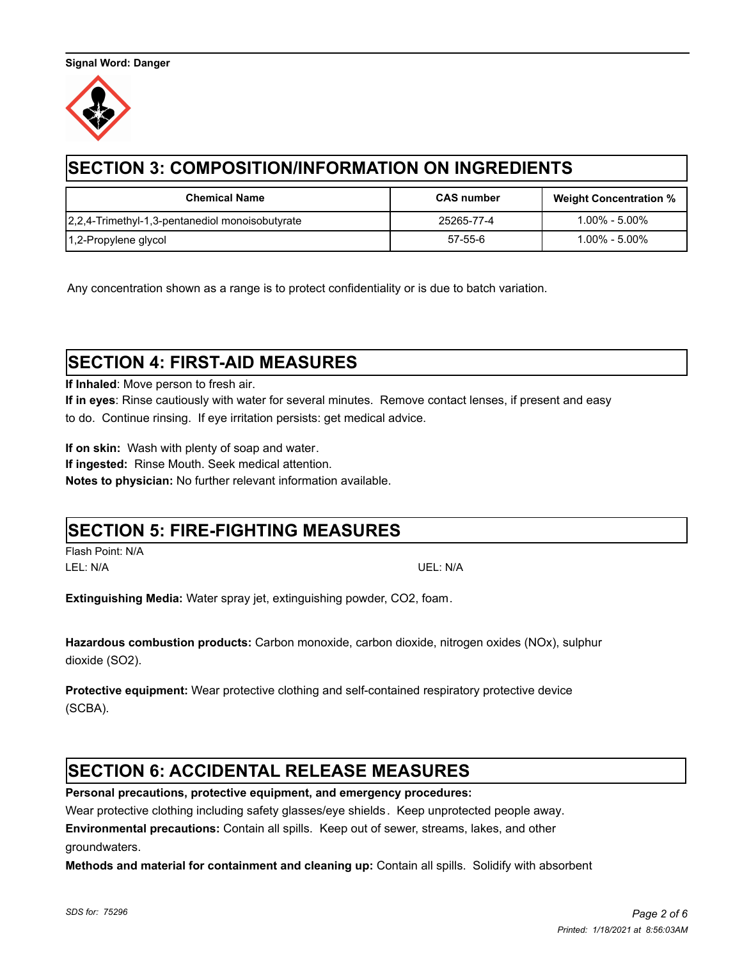

# **SECTION 3: COMPOSITION/INFORMATION ON INGREDIENTS**

| <b>Chemical Name</b>                            | <b>CAS number</b> | <b>Weight Concentration %</b> |
|-------------------------------------------------|-------------------|-------------------------------|
| 2,2,4-Trimethyl-1,3-pentanediol monoisobutyrate | 25265-77-4        | 1.00% - 5.00%                 |
| 1,2-Propylene glycol                            | 57-55-6           | $1.00\%$ - $5.00\%$           |

Any concentration shown as a range is to protect confidentiality or is due to batch variation.

# **SECTION 4: FIRST-AID MEASURES**

**If Inhaled**: Move person to fresh air.

**If in eyes**: Rinse cautiously with water for several minutes. Remove contact lenses, if present and easy to do. Continue rinsing. If eye irritation persists: get medical advice.

**If on skin:** Wash with plenty of soap and water.

**If ingested:** Rinse Mouth. Seek medical attention.

**Notes to physician:** No further relevant information available.

### **SECTION 5: FIRE-FIGHTING MEASURES**

Flash Point: N/A LEL: N/A UEL: N/A

**Extinguishing Media:** Water spray jet, extinguishing powder, CO2, foam.

**Hazardous combustion products:** Carbon monoxide, carbon dioxide, nitrogen oxides (NOx), sulphur dioxide (SO2).

**Protective equipment:** Wear protective clothing and self-contained respiratory protective device (SCBA).

# **SECTION 6: ACCIDENTAL RELEASE MEASURES**

**Personal precautions, protective equipment, and emergency procedures:** 

Wear protective clothing including safety glasses/eye shields. Keep unprotected people away.

**Environmental precautions:** Contain all spills.Keep out of sewer, streams, lakes, and other

groundwaters.

**Methods and material for containment and cleaning up:** Contain all spills. Solidify with absorbent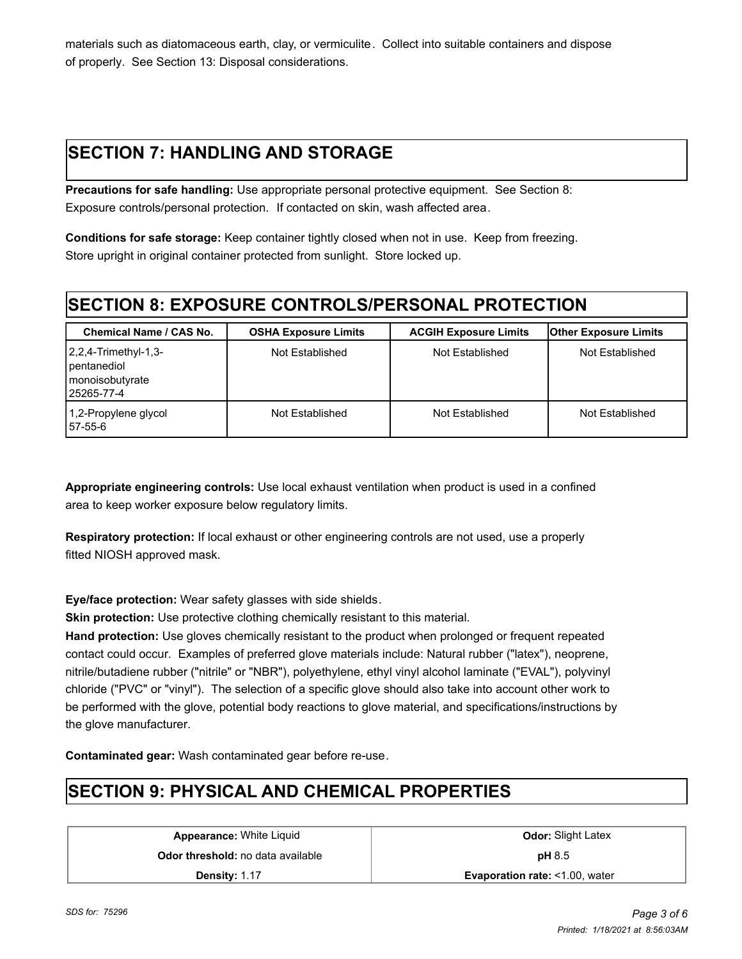materials such as diatomaceous earth, clay, or vermiculite. Collect into suitable containers and dispose of properly. See Section 13: Disposal considerations.

# **SECTION 7: HANDLING AND STORAGE**

**Precautions for safe handling:** Use appropriate personal protective equipment. See Section 8: Exposure controls/personal protection. If contacted on skin, wash affected area.

**Conditions for safe storage:** Keep container tightly closed when not in use. Keep from freezing. Store upright in original container protected from sunlight. Store locked up.

# **SECTION 8: EXPOSURE CONTROLS/PERSONAL PROTECTION**

| <b>Chemical Name / CAS No.</b>                                                   | <b>OSHA Exposure Limits</b> | <b>ACGIH Exposure Limits</b> | <b>Other Exposure Limits</b> |
|----------------------------------------------------------------------------------|-----------------------------|------------------------------|------------------------------|
| $2,2,4$ -Trimethyl-1,3-<br>pentanediol<br><b>I</b> monoisobutyrate<br>25265-77-4 | Not Established             | Not Established              | Not Established              |
| 1,2-Propylene glycol<br>57-55-6                                                  | Not Established             | Not Established              | Not Established              |

**Appropriate engineering controls:** Use local exhaust ventilation when product is used in a confined area to keep worker exposure below regulatory limits.

**Respiratory protection:** If local exhaust or other engineering controls are not used, use a properly fitted NIOSH approved mask.

**Eye/face protection:** Wear safety glasses with side shields.

**Skin protection:** Use protective clothing chemically resistant to this material.

**Hand protection:** Use gloves chemically resistant to the product when prolonged or frequent repeated contact could occur. Examples of preferred glove materials include: Natural rubber ("latex"), neoprene, nitrile/butadiene rubber ("nitrile" or "NBR"), polyethylene, ethyl vinyl alcohol laminate ("EVAL"), polyvinyl chloride ("PVC" or "vinyl"). The selection of a specific glove should also take into account other work to be performed with the glove, potential body reactions to glove material, and specifications/instructions by the glove manufacturer.

**Contaminated gear:** Wash contaminated gear before re-use.

# **SECTION 9: PHYSICAL AND CHEMICAL PROPERTIES**

**Appearance:** White Liquid **Constanting Constanting Constanting Odor:** Slight Latex **Odor threshold:** no data available **pH** 8.5

**Density:** 1.17 **Evaporation rate:** <1.00, water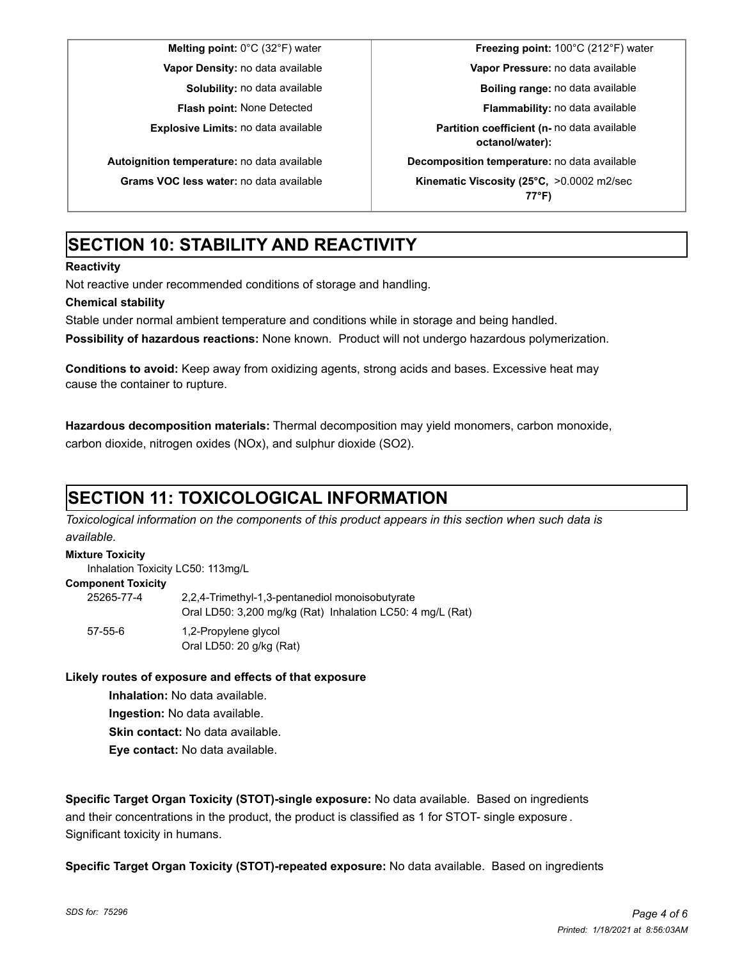**Melting point:** 0°C (32°F) water **Freezing point:** 100°C (212°F) water **Vapor Density:** no data available **Vapor Pressure:** no data available **Solubility:** no data available **Boiling range:** no data available **Flash point:** None Detected **Flammability:** no data available **Explosive Limits:** no data available **Partition coefficient (n-** no data available **octanol/water): Autoignition temperature:** no data available **Decomposition temperature:** no data available **Grams VOC less water:** no data available **Kinematic Viscosity (25°C,** >0.0002 m2/sec **77°F)**

# **SECTION 10: STABILITY AND REACTIVITY**

### **Reactivity**

Not reactive under recommended conditions of storage and handling.

### **Chemical stability**

Stable under normal ambient temperature and conditions while in storage and being handled.

**Possibility of hazardous reactions:** None known. Product will not undergo hazardous polymerization.

**Conditions to avoid:** Keep away from oxidizing agents, strong acids and bases. Excessive heat may cause the container to rupture.

**Hazardous decomposition materials:** Thermal decomposition may yield monomers, carbon monoxide, carbon dioxide, nitrogen oxides (NOx), and sulphur dioxide (SO2).

# **SECTION 11: TOXICOLOGICAL INFORMATION**

*Toxicological information on the components of this product appears in this section when such data is available.*

### **Mixture Toxicity**

Inhalation Toxicity LC50: 113mg/L

#### **Component Toxicity**

| 25265-77-4    | 2,2,4-Trimethyl-1,3-pentanediol monoisobutyrate<br>Oral LD50: 3,200 mg/kg (Rat) Inhalation LC50: 4 mg/L (Rat) |
|---------------|---------------------------------------------------------------------------------------------------------------|
| $57 - 55 - 6$ | 1,2-Propylene glycol<br>Oral LD50: 20 g/kg (Rat)                                                              |

### **Likely routes of exposure and effects of that exposure**

**Inhalation:** No data available.

**Ingestion:** No data available.

**Skin contact:** No data available.

**Eye contact:** No data available.

**Specific Target Organ Toxicity (STOT)-single exposure:** No data available. Based on ingredients and their concentrations in the product, the product is classified as 1 for STOT- single exposure . Significant toxicity in humans.

**Specific Target Organ Toxicity (STOT)-repeated exposure:** No data available. Based on ingredients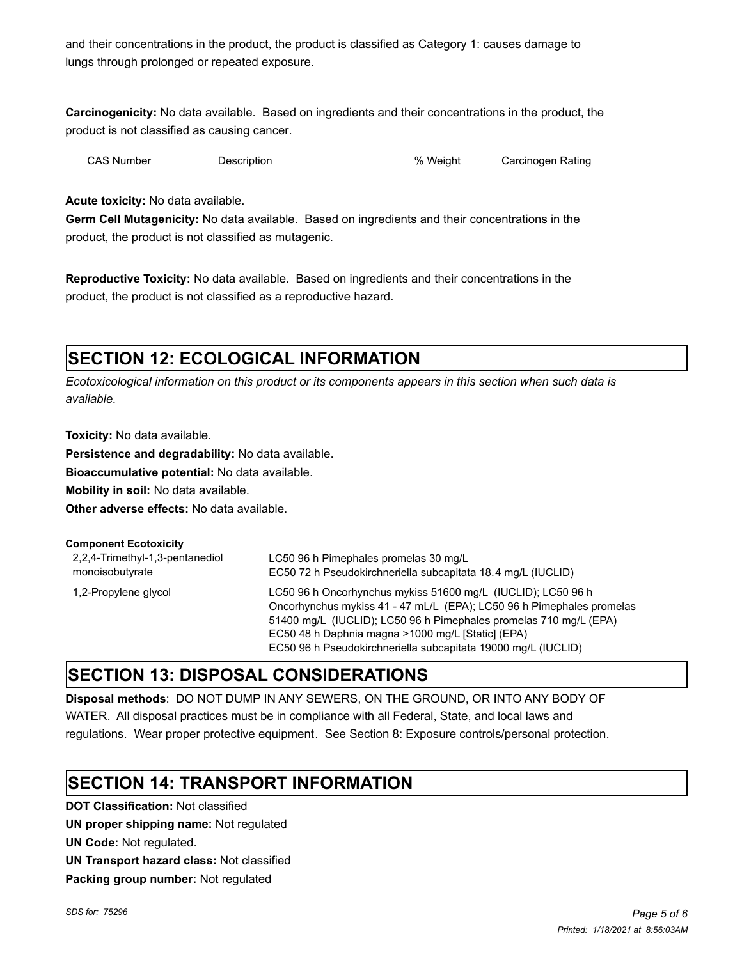and their concentrations in the product, the product is classified as Category 1: causes damage to lungs through prolonged or repeated exposure.

**Carcinogenicity:** No data available. Based on ingredients and their concentrations in the product, the product is not classified as causing cancer.

CAS Number Description % Weight Carcinogen Rating

**Acute toxicity:** No data available.

**Germ Cell Mutagenicity:** No data available. Based on ingredients and their concentrations in the product, the product is not classified as mutagenic.

**Reproductive Toxicity:** No data available. Based on ingredients and their concentrations in the product, the product is not classified as a reproductive hazard.

# **SECTION 12: ECOLOGICAL INFORMATION**

*Ecotoxicological information on this product or its components appears in this section when such data is available.*

**Toxicity:** No data available.

**Persistence and degradability:** No data available.

**Bioaccumulative potential:** No data available.

**Mobility in soil:** No data available.

**Other adverse effects:** No data available.

| <b>Component Ecotoxicity</b>                       |                                                                                                                                                                                                                                                                                                                                  |
|----------------------------------------------------|----------------------------------------------------------------------------------------------------------------------------------------------------------------------------------------------------------------------------------------------------------------------------------------------------------------------------------|
| 2,2,4-Trimethyl-1,3-pentanediol<br>monoisobutyrate | LC50 96 h Pimephales promelas 30 mg/L<br>EC50 72 h Pseudokirchneriella subcapitata 18.4 mg/L (IUCLID)                                                                                                                                                                                                                            |
| 1,2-Propylene glycol                               | LC50 96 h Oncorhynchus mykiss 51600 mg/L (IUCLID); LC50 96 h<br>Oncorhynchus mykiss 41 - 47 mL/L (EPA); LC50 96 h Pimephales promelas<br>51400 mg/L (IUCLID); LC50 96 h Pimephales promelas 710 mg/L (EPA)<br>EC50 48 h Daphnia magna >1000 mg/L [Static] (EPA)<br>EC50 96 h Pseudokirchneriella subcapitata 19000 mg/L (IUCLID) |

### **SECTION 13: DISPOSAL CONSIDERATIONS**

**Disposal methods**: DO NOT DUMP IN ANY SEWERS, ON THE GROUND, OR INTO ANY BODY OF WATER. All disposal practices must be in compliance with all Federal, State, and local laws and regulations. Wear proper protective equipment. See Section 8: Exposure controls/personal protection.

# **SECTION 14: TRANSPORT INFORMATION**

**DOT Classification:** Not classified **UN proper shipping name:** Not regulated **UN Code:** Not regulated. **UN Transport hazard class:** Not classified **Packing group number:** Not regulated